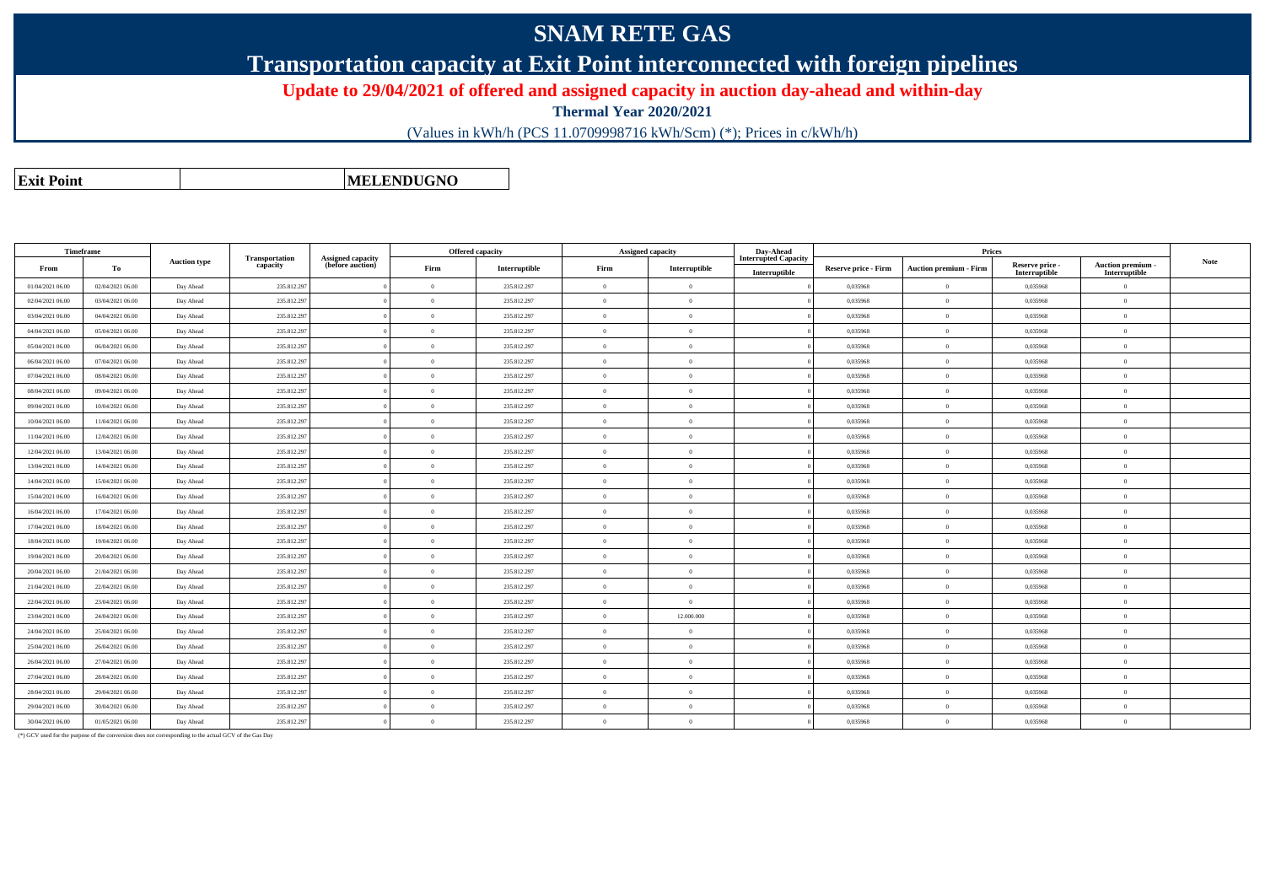## **SNAM RETE GAS**

**Transportation capacity at Exit Point interconnected with foreign pipelines**

**Update to 29/04/2021 of offered and assigned capacity in auction day-ahead and within-day**

**Thermal Year 2020/2021**

(Values in kWh/h (PCS 11.0709998716 kWh/Scm) (\*); Prices in c/kWh/h)

**Exit PointMELENDUGNO**

|                  | <b>Timeframe</b> | <b>Auction type</b> |                                   |                                              | <b>Offered capacity</b> |               |                | <b>Assigned capacity</b> | Day-Ahead                                    |                             |                               |                                  |                                                                                   |             |
|------------------|------------------|---------------------|-----------------------------------|----------------------------------------------|-------------------------|---------------|----------------|--------------------------|----------------------------------------------|-----------------------------|-------------------------------|----------------------------------|-----------------------------------------------------------------------------------|-------------|
| From             | То               |                     | <b>Transportation</b><br>capacity | <b>Assigned capacity</b><br>(before auction) | Firm                    | Interruptible | Firm           | Interruptible            | <b>Interrupted Capacity</b><br>Interruptible | <b>Reserve price - Firm</b> | <b>Auction premium - Firm</b> | Reserve price -<br>Interruptible | $\begin{array}{c} \textbf{Auction premium} \\ \textbf{Interruptible} \end{array}$ | <b>Note</b> |
| 01/04/2021 06:00 | 02/04/2021 06:00 | Day Ahead           | 235.812.297                       |                                              | $\overline{0}$          | 235.812.297   | $\Omega$       | $\overline{0}$           |                                              | 0,035968                    | $\overline{0}$                | 0,035968                         | $\overline{0}$                                                                    |             |
| 02/04/2021 06:00 | 03/04/2021 06:00 | Day Ahead           | 235.812.297                       |                                              | $\Omega$                | 235.812.297   | $\Omega$       | $\theta$                 |                                              | 0.035968                    | $\Omega$                      | 0.035968                         | $\overline{0}$                                                                    |             |
| 03/04/2021 06:00 | 04/04/2021 06:00 | Day Ahead           | 235.812.297                       |                                              | $\overline{0}$          | 235.812.297   | $\theta$       | $\theta$                 |                                              | 0,035968                    | $\overline{0}$                | 0,035968                         | $\overline{0}$                                                                    |             |
| 04/04/2021 06:00 | 05/04/2021 06:00 | Day Ahead           | 235.812.297                       |                                              | $\theta$                | 235.812.297   | $\Omega$       | $\Omega$                 |                                              | 0,035968                    | $\Omega$                      | 0.035968                         | $\overline{0}$                                                                    |             |
| 05/04/2021 06:00 | 06/04/2021 06:00 | Day Ahead           | 235.812.297                       |                                              | $\Omega$                | 235.812.297   | $\Omega$       | $\Omega$                 |                                              | 0,035968                    | $\overline{0}$                | 0,035968                         | $\overline{0}$                                                                    |             |
| 06/04/2021 06:00 | 07/04/2021 06:00 | Day Ahead           | 235.812.297                       |                                              | $\overline{0}$          | 235.812.297   | $\Omega$       | $\theta$                 |                                              | 0.035968                    | $\overline{0}$                | 0.035968                         | $\overline{0}$                                                                    |             |
| 07/04/2021 06:00 | 08/04/2021 06:00 | Day Ahead           | 235.812.297                       |                                              | $\Omega$                | 235.812.297   | $\Omega$       | $\theta$                 |                                              | 0.035968                    | $\theta$                      | 0.035968                         | $\overline{0}$                                                                    |             |
| 08/04/2021 06:00 | 09/04/2021 06:00 | Day Ahead           | 235.812.297                       |                                              | $\overline{0}$          | 235.812.297   | $\Omega$       | $\overline{0}$           |                                              | 0,035968                    | $\overline{0}$                | 0,035968                         | $\overline{0}$                                                                    |             |
| 09/04/2021 06:00 | 10/04/2021 06:00 | Day Ahead           | 235.812.297                       |                                              | $\overline{0}$          | 235.812.297   | $\Omega$       | $\Omega$                 |                                              | 0,035968                    | $\overline{0}$                | 0,035968                         | $\overline{0}$                                                                    |             |
| 10/04/2021 06:00 | 11/04/2021 06:00 | Day Ahead           | 235.812.297                       |                                              | $\overline{0}$          | 235.812.297   | $\overline{0}$ | $\overline{0}$           |                                              | 0.035968                    | $\overline{0}$                | 0.035968                         | $\overline{0}$                                                                    |             |
| 11/04/2021 06:00 | 12/04/2021 06:00 | Day Ahead           | 235.812.297                       |                                              | $\Omega$                | 235.812.297   | $\Omega$       | $\Omega$                 |                                              | 0.035968                    | $\Omega$                      | 0.035968                         | $\overline{0}$                                                                    |             |
| 12/04/2021 06:00 | 13/04/2021 06:00 | Day Ahead           | 235.812.297                       |                                              | $\overline{0}$          | 235.812.297   | $\Omega$       | $\theta$                 |                                              | 0,035968                    | $\overline{0}$                | 0,035968                         | $\overline{0}$                                                                    |             |
| 13/04/2021 06:00 | 14/04/2021 06:00 | Day Ahead           | 235.812.297                       |                                              | $\theta$                | 235.812.297   | $\Omega$       | $\Omega$                 |                                              | 0.035968                    | $\theta$                      | 0.035968                         | $\overline{0}$                                                                    |             |
| 14/04/2021 06:00 | 15/04/2021 06:00 | Day Ahead           | 235.812.297                       |                                              | $\theta$                | 235.812.297   | $\Omega$       | $\Omega$                 |                                              | 0.035968                    | $\Omega$                      | 0.035968                         | $\overline{0}$                                                                    |             |
| 15/04/2021 06:00 | 16/04/2021 06:00 | Day Ahead           | 235.812.297                       |                                              | $\theta$                | 235.812.297   | $\Omega$       | $\overline{0}$           |                                              | 0,035968                    | $\overline{0}$                | 0,035968                         | $\overline{0}$                                                                    |             |
| 16/04/2021 06:00 | 17/04/2021 06:00 | Day Ahead           | 235.812.297                       |                                              | $\Omega$                | 235.812.297   | $\Omega$       | $\theta$                 |                                              | 0,035968                    | $\overline{0}$                | 0,035968                         | $\overline{0}$                                                                    |             |
| 17/04/2021 06:00 | 18/04/2021 06:00 | Day Ahead           | 235.812.297                       |                                              | $\overline{0}$          | 235.812.297   | $\Omega$       | $\Omega$                 |                                              | 0,035968                    | $\Omega$                      | 0,035968                         | $\overline{0}$                                                                    |             |
| 18/04/2021 06:00 | 19/04/2021 06:00 | Day Ahead           | 235.812.297                       |                                              | $\overline{0}$          | 235.812.297   | $\Omega$       | $\Omega$                 |                                              | 0,035968                    | $\Omega$                      | 0.035968                         | $\overline{0}$                                                                    |             |
| 19/04/2021 06:00 | 20/04/2021 06:00 | Day Ahead           | 235.812.297                       |                                              | $\overline{0}$          | 235.812.297   | $\overline{0}$ | $\overline{0}$           |                                              | 0,035968                    | $\overline{0}$                | 0,035968                         | $\overline{0}$                                                                    |             |
| 20/04/2021 06:00 | 21/04/2021 06:00 | Day Ahead           | 235.812.297                       |                                              | $\Omega$                | 235.812.297   | $\Omega$       | $\theta$                 |                                              | 0,035968                    | $\theta$                      | 0,035968                         | $\overline{0}$                                                                    |             |
| 21/04/2021 06:00 | 22/04/2021 06:00 | Day Ahead           | 235.812.297                       |                                              | $\theta$                | 235.812.297   | $\Omega$       | $\Omega$                 |                                              | 0.035968                    | $\Omega$                      | 0.035968                         | $\overline{0}$                                                                    |             |
| 22/04/2021 06:00 | 23/04/2021 06:00 | Day Ahead           | 235.812.297                       |                                              | $\theta$                | 235.812.297   | $\Omega$       | $\Omega$                 |                                              | 0.035968                    | $\overline{0}$                | 0.035968                         | $\overline{0}$                                                                    |             |
| 23/04/2021 06:00 | 24/04/2021 06:00 | Day Ahead           | 235.812.297                       |                                              | $\theta$                | 235.812.297   | $\Omega$       | 12.000.000               |                                              | 0,035968                    | $\overline{0}$                | 0,035968                         | $\overline{0}$                                                                    |             |
| 24/04/2021 06:00 | 25/04/2021 06:00 | Day Ahead           | 235.812.297                       |                                              | $\theta$                | 235.812.297   | $\Omega$       | $\Omega$                 |                                              | 0,035968                    | $\Omega$                      | 0,035968                         | $\overline{0}$                                                                    |             |
| 25/04/2021 06:00 | 26/04/2021 06:00 | Day Ahead           | 235.812.297                       |                                              | $\theta$                | 235.812.297   | $\Omega$       | $\Omega$                 |                                              | 0.035968                    | $\Omega$                      | 0.035968                         | $\overline{0}$                                                                    |             |
| 26/04/2021 06:00 | 27/04/2021 06:00 | Day Ahead           | 235.812.297                       |                                              | $\overline{0}$          | 235.812.297   | $\Omega$       | $\overline{0}$           |                                              | 0.035968                    | $\overline{0}$                | 0.035968                         | $\overline{0}$                                                                    |             |
| 27/04/2021 06:00 | 28/04/2021 06:00 | Day Ahead           | 235.812.297                       |                                              | $\overline{0}$          | 235.812.297   | $\Omega$       | $\overline{0}$           |                                              | 0.035968                    | $\overline{0}$                | 0.035968                         | $\overline{0}$                                                                    |             |
| 28/04/2021 06:00 | 29/04/2021 06:00 | Day Ahead           | 235.812.297                       |                                              | $\overline{0}$          | 235.812.297   | $\Omega$       | $\overline{0}$           |                                              | 0,035968                    | $\overline{0}$                | 0,035968                         | $\overline{0}$                                                                    |             |
| 29/04/2021 06:00 | 30/04/2021 06:00 | Day Ahead           | 235.812.297                       |                                              | $\theta$                | 235.812.297   | $\Omega$       | $\theta$                 |                                              | 0,035968                    | $\Omega$                      | 0.035968                         | $\overline{0}$                                                                    |             |
| 30/04/2021 06:00 | 01/05/2021 06:00 | Day Ahead           | 235.812.297                       |                                              | $\overline{0}$          | 235.812.297   | $\overline{0}$ | $\overline{0}$           |                                              | 0.035968                    | $\overline{0}$                | 0.035968                         | $\overline{0}$                                                                    |             |

(\*) GCV used for the purpose of the conversion does not corresponding to the actual GCV of the Gas Day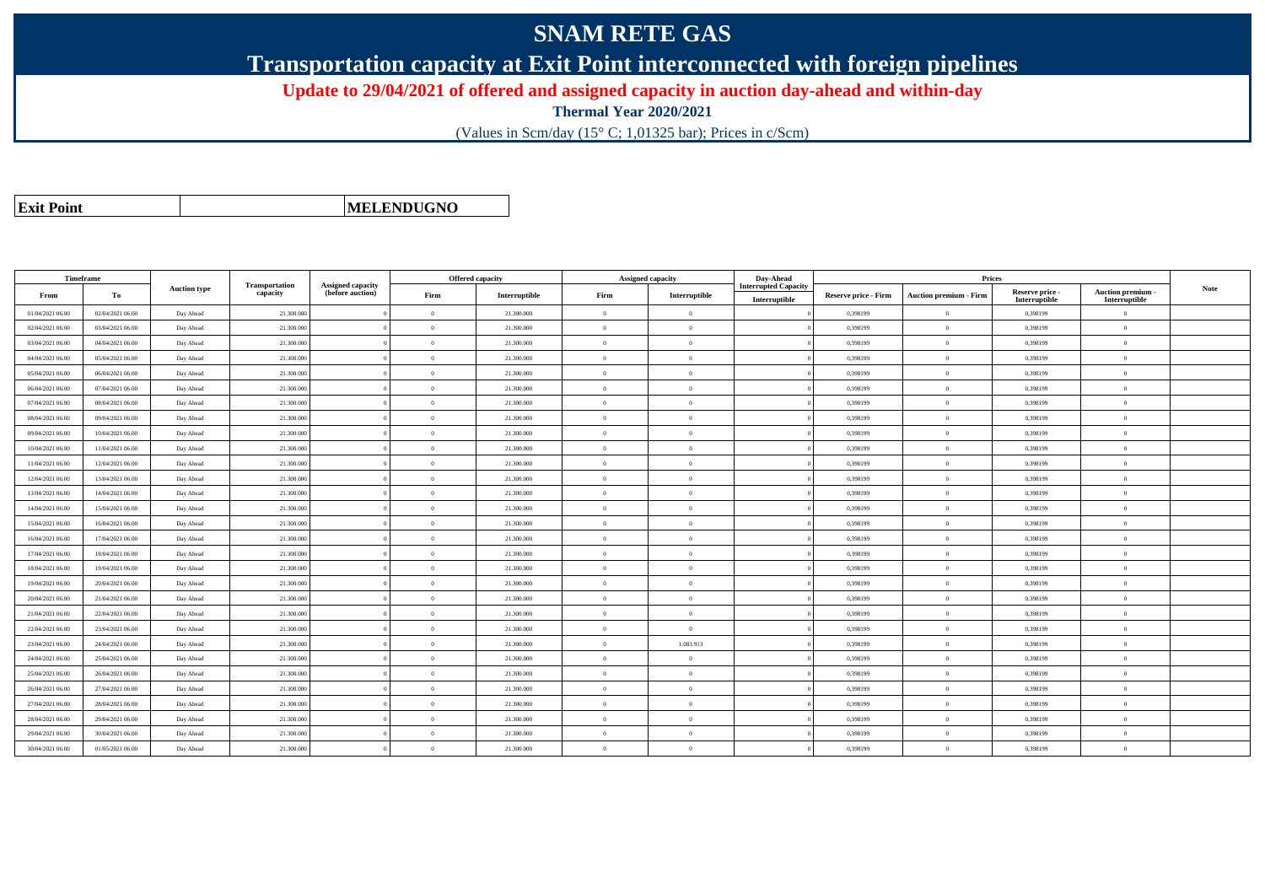## **SNAM RETE GAS**

**Transportation capacity at Exit Point interconnected with foreign pipelines**

**Update to 29/04/2021 of offered and assigned capacity in auction day-ahead and within-day**

**Thermal Year 2020/2021**

(Values in Scm/day (15° C; 1,01325 bar); Prices in c/Scm)

|  | <b>Exit Point</b> |
|--|-------------------|
|  |                   |

**MELENDUGNO**

| Timeframe        |                  |                     |                            |                                              | Offered capacity |               | <b>Assigned capacity</b> |                | Day-Ahead                                    |                             | Prices                 |                                  |                                         |             |
|------------------|------------------|---------------------|----------------------------|----------------------------------------------|------------------|---------------|--------------------------|----------------|----------------------------------------------|-----------------------------|------------------------|----------------------------------|-----------------------------------------|-------------|
| From             | То               | <b>Auction type</b> | Transportation<br>capacity | <b>Assigned capacity</b><br>(before auction) | Firm             | Interruptible | Firm                     | Interruptible  | <b>Interrupted Capacity</b><br>Interruptible | <b>Reserve price - Firm</b> | Auction premium - Firm | Reserve price -<br>Interruptible | <b>Auction premium</b><br>Interruptible | <b>Note</b> |
| 01/04/2021 06:00 | 02/04/2021 06:00 | Day Ahead           | 21.300.000                 |                                              | $\Omega$         | 21.300,000    | $\theta$                 | $\Omega$       |                                              | 0.398199                    | $\theta$               | 0.398199                         | $\Omega$                                |             |
| 02/04/2021 06:00 | 03/04/2021 06:00 | Day Ahead           | 21.300.000                 |                                              | $\theta$         | 21.300.000    | $\theta$                 | $\Omega$       |                                              | 0,398199                    | $\overline{0}$         | 0,398199                         | $\mathbf{0}$                            |             |
| 03/04/2021 06:00 | 04/04/2021 06:00 | Day Ahead           | 21.300.000                 |                                              | $\Omega$         | 21.300.000    | $\theta$                 | $\theta$       |                                              | 0,398199                    | $\overline{0}$         | 0,398199                         | $\theta$                                |             |
| 04/04/2021 06:00 | 05/04/2021 06:00 | Day Ahead           | 21.300.000                 |                                              | $\Omega$         | 21.300.000    | $\theta$                 | $\Omega$       |                                              | 0,398199                    | $\Omega$               | 0,398199                         | $\theta$                                |             |
| 05/04/2021 06:00 | 06/04/2021 06:00 | Day Ahead           | 21.300.000                 |                                              | $\theta$         | 21.300.000    | $\overline{0}$           | $\overline{0}$ |                                              | 0,398199                    | $\overline{0}$         | 0,398199                         | $\mathbf{0}$                            |             |
| 06/04/2021 06:00 | 07/04/2021 06:00 | Day Ahead           | 21.300.000                 |                                              | $\Omega$         | 21.300.000    | $\theta$                 | $\Omega$       |                                              | 0,398199                    | $\overline{0}$         | 0,398199                         | $\Omega$                                |             |
| 07/04/2021 06:00 | 08/04/2021 06:00 | Day Ahead           | 21.300.000                 |                                              | $\Omega$         | 21.300.000    | $\Omega$                 | $\Omega$       |                                              | 0.398199                    | $\Omega$               | 0.398199                         | $\Omega$                                |             |
| 08/04/2021 06:00 | 09/04/2021 06:00 | Day Ahead           | 21.300.000                 |                                              | $\Omega$         | 21.300,000    | $\theta$                 | $\Omega$       |                                              | 0.398199                    | $\theta$               | 0.398199                         | $\Omega$                                |             |
| 09/04/2021 06:00 | 10/04/2021 06:00 | Day Ahead           | 21.300.000                 |                                              | $\Omega$         | 21.300,000    | $\Omega$                 | $\Omega$       |                                              | 0.398199                    | $\Omega$               | 0.398199                         | $\Omega$                                |             |
| 10/04/2021 06:00 | 11/04/2021 06:00 | Day Ahead           | 21.300.000                 |                                              | $\Omega$         | 21.300.000    | $\theta$                 | $\Omega$       |                                              | 0.398199                    | $\overline{0}$         | 0,398199                         | $\theta$                                |             |
| 11/04/2021 06:00 | 12/04/2021 06:00 | Day Ahead           | 21.300.000                 |                                              | $\theta$         | 21.300.000    | $\theta$                 | $\Omega$       |                                              | 0.398199                    | $\Omega$               | 0,398199                         | $\overline{0}$                          |             |
| 12/04/2021 06:00 | 13/04/2021 06:00 | Day Ahead           | 21,300,000                 |                                              | $\theta$         | 21.300,000    | $\overline{0}$           | $\overline{0}$ |                                              | 0.398199                    | $\overline{0}$         | 0.398199                         | $\overline{0}$                          |             |
| 13/04/2021 06:00 | 14/04/2021 06:00 | Day Ahead           | 21.300.000                 |                                              | $\Omega$         | 21.300.000    | $\theta$                 | $\Omega$       |                                              | 0,398199                    | $\overline{0}$         | 0,398199                         | $\Omega$                                |             |
| 14/04/2021 06:00 | 15/04/2021 06:00 | Day Ahead           | 21.300.000                 |                                              | $\Omega$         | 21.300.000    | $\Omega$                 | $\Omega$       |                                              | 0.398199                    | $\Omega$               | 0,398199                         | $\Omega$                                |             |
| 15/04/2021 06:00 | 16/04/2021 06:00 | Day Ahead           | 21.300.000                 |                                              | $\Omega$         | 21.300,000    | $\theta$                 | $\Omega$       |                                              | 0.398199                    | $\Omega$               | 0.398199                         | $\Omega$                                |             |
| 16/04/2021 06:00 | 17/04/2021 06:00 | Day Ahead           | 21.300.000                 |                                              | $\Omega$         | 21.300,000    | $\Omega$                 | $\Omega$       |                                              | 0.398199                    | $\theta$               | 0.398199                         | $\Omega$                                |             |
| 17/04/2021 06:00 | 18/04/2021 06:00 | Day Ahead           | 21.300.000                 |                                              | $\theta$         | 21.300.000    | $\theta$                 | $\Omega$       |                                              | 0.398199                    | $\overline{0}$         | 0,398199                         | $\mathbf{0}$                            |             |
| 18/04/2021 06:00 | 19/04/2021 06:00 | Day Ahead           | 21.300.000                 |                                              | $\theta$         | 21.300.000    | $\Omega$                 | $\Omega$       |                                              | 0.398199                    | $\theta$               | 0,398199                         | $\overline{0}$                          |             |
| 19/04/2021 06:00 | 20/04/2021 06:00 | Day Ahead           | 21.300.000                 |                                              | $\theta$         | 21.300.000    | $\overline{0}$           | $\overline{0}$ |                                              | 0,398199                    | $\overline{0}$         | 0,398199                         | $\mathbf{0}$                            |             |
| 20/04/2021 06:00 | 21/04/2021 06:00 | Day Ahead           | 21.300.000                 |                                              | $\theta$         | 21.300.000    | $\Omega$                 | $\Omega$       |                                              | 0,398199                    | $\overline{0}$         | 0,398199                         | $\Omega$                                |             |
| 21/04/2021 06:00 | 22/04/2021 06:00 | Day Ahead           | 21.300.000                 |                                              | $\Omega$         | 21.300.000    | $\Omega$                 | $\Omega$       |                                              | 0,398199                    | $\Omega$               | 0,398199                         | $\Omega$                                |             |
| 22/04/2021 06:00 | 23/04/2021 06:00 | Day Ahead           | 21.300.000                 |                                              | $\Omega$         | 21.300,000    | $\Omega$                 | $\Omega$       |                                              | 0.398199                    | $\Omega$               | 0.398199                         | $\Omega$                                |             |
| 23/04/2021 06:00 | 24/04/2021 06:00 | Day Ahead           | 21.300.000                 |                                              | $\Omega$         | 21.300,000    | $\theta$                 | 1.083.913      |                                              | 0.398199                    | $\theta$               | 0.398199                         | $\Omega$                                |             |
| 24/04/2021 06:00 | 25/04/2021 06:00 | Day Ahead           | 21.300.000                 |                                              | $\Omega$         | 21.300.000    | $\theta$                 | $\Omega$       |                                              | 0,398199                    | $\overline{0}$         | 0,398199                         | $\Omega$                                |             |
| 25/04/2021 06:00 | 26/04/2021 06:00 | Day Ahead           | 21.300.000                 |                                              | $\Omega$         | 21.300.000    | $\theta$                 | $\Omega$       |                                              | 0,398199                    | $\theta$               | 0,398199                         | $\Omega$                                |             |
| 26/04/2021 06:00 | 27/04/2021 06:00 | Day Ahead           | 21.300.000                 |                                              | $\theta$         | 21.300.000    | $\overline{0}$           | $\overline{0}$ |                                              | 0,398199                    | $\overline{0}$         | 0,398199                         | $\mathbf{0}$                            |             |
| 27/04/2021 06:00 | 28/04/2021 06:00 | Day Ahead           | 21.300.000                 |                                              | $\Omega$         | 21.300.000    | $\theta$                 | $\Omega$       |                                              | 0,398199                    | $\overline{0}$         | 0,398199                         | $\mathbf{0}$                            |             |
| 28/04/2021 06:00 | 29/04/2021 06:00 | Day Ahead           | 21.300.000                 |                                              | $\Omega$         | 21.300.000    | $\overline{0}$           | $\Omega$       |                                              | 0,398199                    | $\overline{0}$         | 0,398199                         | $\overline{0}$                          |             |
| 29/04/2021 06:00 | 30/04/2021 06.00 | Day Ahead           | 21.300.000                 |                                              | $\Omega$         | 21.300.000    | $\theta$                 | $\Omega$       |                                              | 0.398199                    | $\Omega$               | 0.398199                         | $\Omega$                                |             |
| 30/04/2021 06:00 | 01/05/2021 06:00 | Day Ahead           | 21.300,000                 |                                              | $\Omega$         | 21.300,000    | $\theta$                 | $\Omega$       |                                              | 0.398199                    | $\Omega$               | 0.398199                         | $\Omega$                                |             |